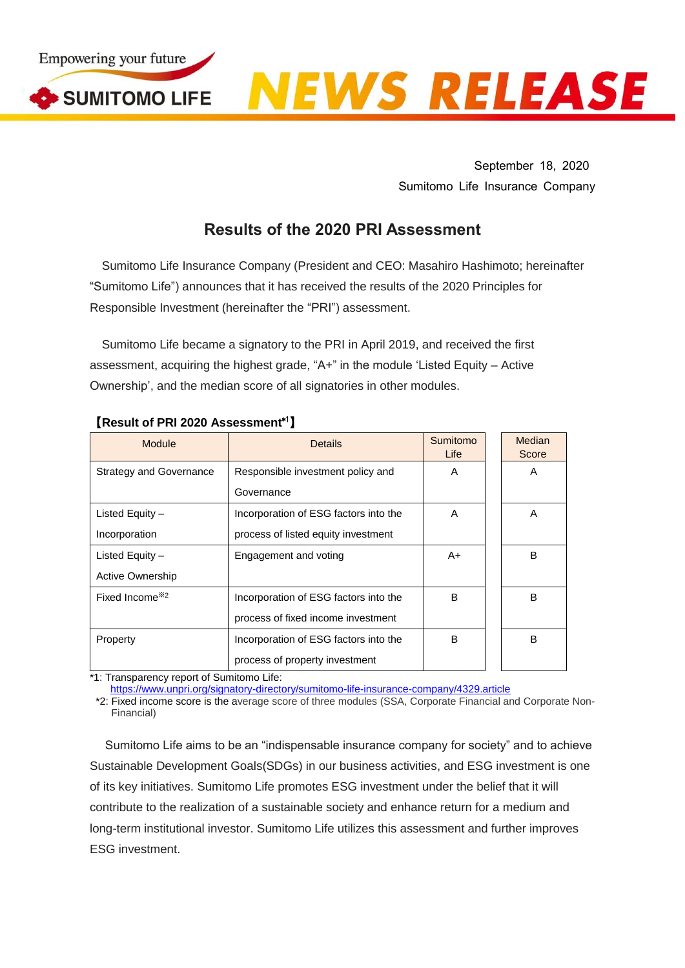

September 18, 2020 Sumitomo Life Insurance Company

## **Results of the 2020 PRI Assessment**

Sumitomo Life Insurance Company (President and CEO: Masahiro Hashimoto; hereinafter "Sumitomo Life") announces that it has received the results of the 2020 Principles for Responsible Investment (hereinafter the "PRI") assessment.

Sumitomo Life became a signatory to the PRI in April 2019, and received the first assessment, acquiring the highest grade, "A+" in the module 'Listed Equity – Active Ownership', and the median score of all signatories in other modules.

| Module                         | <b>Details</b>                        | Sumitomo<br>Life | Median<br>Score |
|--------------------------------|---------------------------------------|------------------|-----------------|
| <b>Strategy and Governance</b> | Responsible investment policy and     | A                | A               |
|                                | Governance                            |                  |                 |
| Listed Equity -                | Incorporation of ESG factors into the | A                | A               |
| Incorporation                  | process of listed equity investment   |                  |                 |
| Listed Equity -                | Engagement and voting                 | A+               | B               |
| Active Ownership               |                                       |                  |                 |
| Fixed Income <sup>32</sup>     | Incorporation of ESG factors into the | B                | B               |
|                                | process of fixed income investment    |                  |                 |
| Property                       | Incorporation of ESG factors into the | в                | B               |
|                                | process of property investment        |                  |                 |

## 【**Result of PRI 2020 Assessment**\*1】

\*1: Transparency report of Sumitomo Life:

<https://www.unpri.org/signatory-directory/sumitomo-life-insurance-company/4329.article>

\*2: Fixed income score is the average score of three modules (SSA, Corporate Financial and Corporate Non-Financial)

Sumitomo Life aims to be an "indispensable insurance company for society" and to achieve Sustainable Development Goals(SDGs) in our business activities, and ESG investment is one of its key initiatives. Sumitomo Life promotes ESG investment under the belief that it will contribute to the realization of a sustainable society and enhance return for a medium and long-term institutional investor. Sumitomo Life utilizes this assessment and further improves ESG investment.